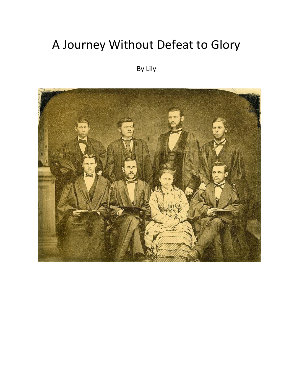## A Journey Without Defeat to Glory

## By Lily

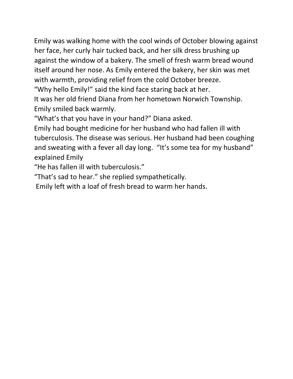Emily was walking home with the cool winds of October blowing against her face, her curly hair tucked back, and her silk dress brushing up against the window of a bakery. The smell of fresh warm bread wound itself around her nose. As Emily entered the bakery, her skin was met with warmth, providing relief from the cold October breeze.

"Why hello Emily!" said the kind face staring back at her.

It was her old friend Diana from her hometown Norwich Township. Emily smiled back warmly.

"What's that you have in your hand?" Diana asked.

Emily had bought medicine for her husband who had fallen ill with tuberculosis. The disease was serious. Her husband had been coughing and sweating with a fever all day long. "It's some tea for my husband" explained Emily

"He has fallen ill with tuberculosis."

"That's sad to hear." she replied sympathetically.

Emily left with a loaf of fresh bread to warm her hands.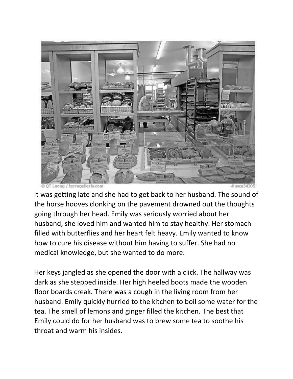

It was getting late and she had to get back to her husband. The sound of the horse hooves clonking on the pavement drowned out the thoughts going through her head. Emily was seriously worried about her husband, she loved him and wanted him to stay healthy. Her stomach filled with butterflies and her heart felt heavy. Emily wanted to know how to cure his disease without him having to suffer. She had no medical knowledge, but she wanted to do more.

Her keys jangled as she opened the door with a click. The hallway was dark as she stepped inside. Her high heeled boots made the wooden floor boards creak. There was a cough in the living room from her husband. Emily quickly hurried to the kitchen to boil some water for the tea. The smell of lemons and ginger filled the kitchen. The best that Emily could do for her husband was to brew some tea to soothe his throat and warm his insides.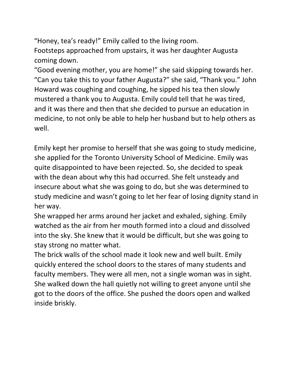"Honey, tea's ready!" Emily called to the living room. Footsteps approached from upstairs, it was her daughter Augusta coming down.

"Good evening mother, you are home!" she said skipping towards her. "Can you take this to your father Augusta?" she said, "Thank you." John Howard was coughing and coughing, he sipped his tea then slowly mustered a thank you to Augusta. Emily could tell that he was tired, and it was there and then that she decided to pursue an education in medicine, to not only be able to help her husband but to help others as well.

Emily kept her promise to herself that she was going to study medicine, she applied for the Toronto University School of Medicine. Emily was quite disappointed to have been rejected. So, she decided to speak with the dean about why this had occurred. She felt unsteady and insecure about what she was going to do, but she was determined to study medicine and wasn't going to let her fear of losing dignity stand in her way.

She wrapped her arms around her jacket and exhaled, sighing. Emily watched as the air from her mouth formed into a cloud and dissolved into the sky. She knew that it would be difficult, but she was going to stay strong no matter what.

The brick walls of the school made it look new and well built. Emily quickly entered the school doors to the stares of many students and faculty members. They were all men, not a single woman was in sight. She walked down the hall quietly not willing to greet anyone until she got to the doors of the office. She pushed the doors open and walked inside briskly.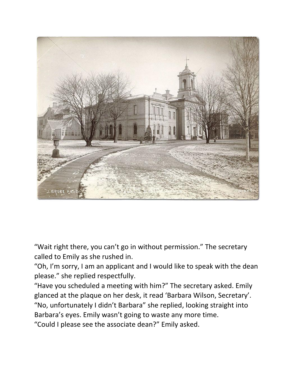

"Wait right there, you can't go in without permission." The secretary called to Emily as she rushed in.

"Oh, I'm sorry, I am an applicant and I would like to speak with the dean please." she replied respectfully.

"Have you scheduled a meeting with him?" The secretary asked. Emily glanced at the plaque on her desk, it read 'Barbara Wilson, Secretary'. "No, unfortunately I didn't Barbara" she replied, looking straight into Barbara's eyes. Emily wasn't going to waste any more time.

"Could I please see the associate dean?" Emily asked.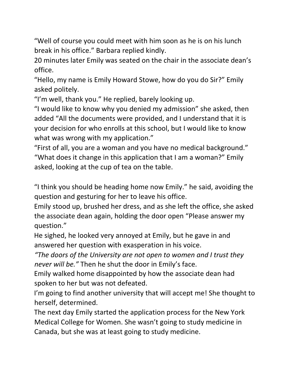"Well of course you could meet with him soon as he is on his lunch break in his office." Barbara replied kindly.

20 minutes later Emily was seated on the chair in the associate dean's office.

"Hello, my name is Emily Howard Stowe, how do you do Sir?" Emily asked politely.

"I'm well, thank you." He replied, barely looking up.

"I would like to know why you denied my admission" she asked, then added "All the documents were provided, and I understand that it is your decision for who enrolls at this school, but I would like to know what was wrong with my application."

"First of all, you are a woman and you have no medical background." "What does it change in this application that I am a woman?" Emily asked, looking at the cup of tea on the table.

"I think you should be heading home now Emily." he said, avoiding the question and gesturing for her to leave his office.

Emily stood up, brushed her dress, and as she left the office, she asked the associate dean again, holding the door open "Please answer my question."

He sighed, he looked very annoyed at Emily, but he gave in and answered her question with exasperation in his voice.

*"The doors of the University are not open to women and I trust they never will be."* Then he shut the door in Emily's face.

Emily walked home disappointed by how the associate dean had spoken to her but was not defeated.

I'm going to find another university that will accept me! She thought to herself, determined.

The next day Emily started the application process for the New York Medical College for Women. She wasn't going to study medicine in Canada, but she was at least going to study medicine.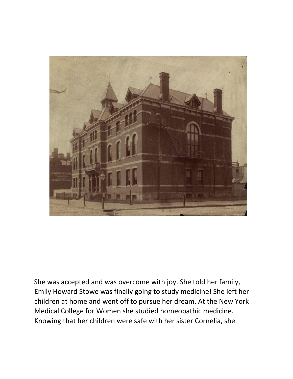

She was accepted and was overcome with joy. She told her family, Emily Howard Stowe was finally going to study medicine! She left her children at home and went off to pursue her dream. At the New York Medical College for Women she studied homeopathic medicine. Knowing that her children were safe with her sister Cornelia, she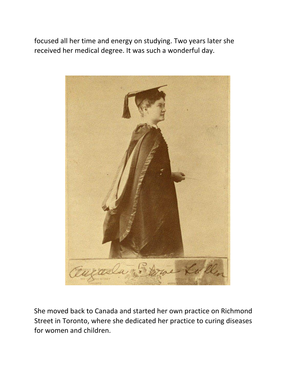focused all her time and energy on studying. Two years later she received her medical degree. It was such a wonderful day.



She moved back to Canada and started her own practice on Richmond Street in Toronto, where she dedicated her practice to curing diseases for women and children.